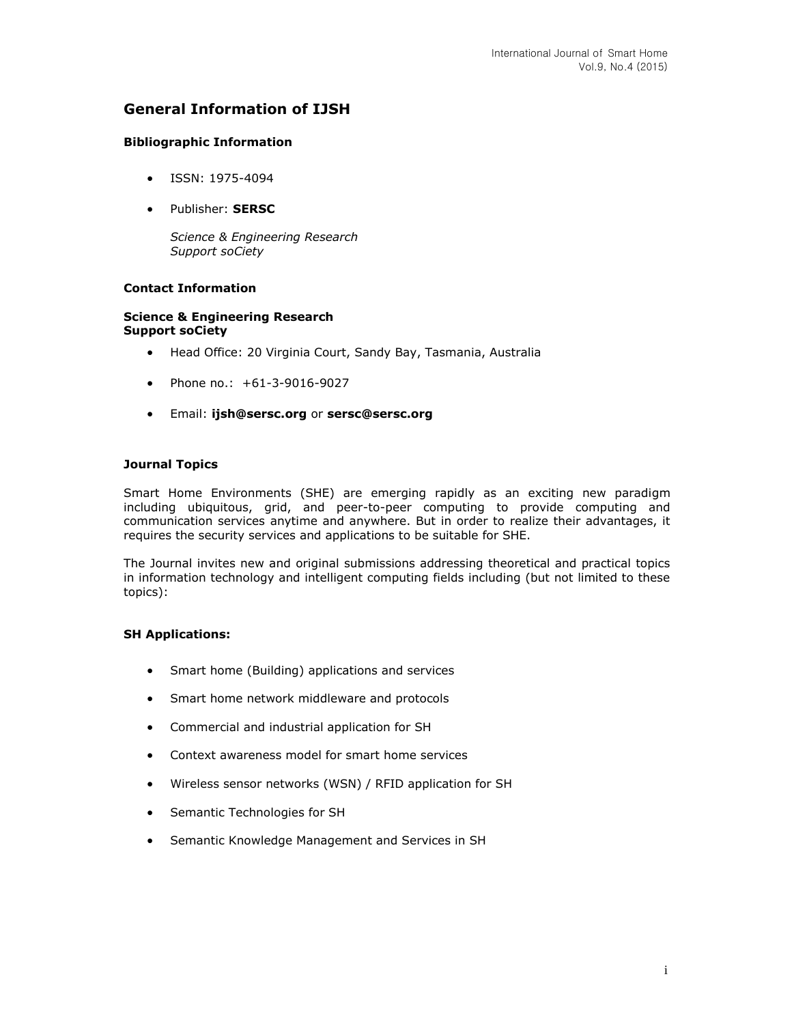# **General Information of IJSH**

## **Bibliographic Information**

- ISSN: 1975-4094
- Publisher: **SERSC**

*Science & Engineering Research Support soCiety*

## **Contact Information**

### **Science & Engineering Research Support soCiety**

- Head Office: 20 Virginia Court, Sandy Bay, Tasmania, Australia
- Phone no.: +61-3-9016-9027
- Email: **[ijsh@sersc.org](mailto:ijsh@sersc.org)** or **[sersc@sersc.org](mailto:sersc@sersc.org)**

### **Journal Topics**

Smart Home Environments (SHE) are emerging rapidly as an exciting new paradigm including ubiquitous, grid, and peer-to-peer computing to provide computing and communication services anytime and anywhere. But in order to realize their advantages, it requires the security services and applications to be suitable for SHE.

The Journal invites new and original submissions addressing theoretical and practical topics in information technology and intelligent computing fields including (but not limited to these topics):

### **SH Applications:**

- Smart home (Building) applications and services
- Smart home network middleware and protocols
- Commercial and industrial application for SH
- Context awareness model for smart home services
- Wireless sensor networks (WSN) / RFID application for SH
- Semantic Technologies for SH
- Semantic Knowledge Management and Services in SH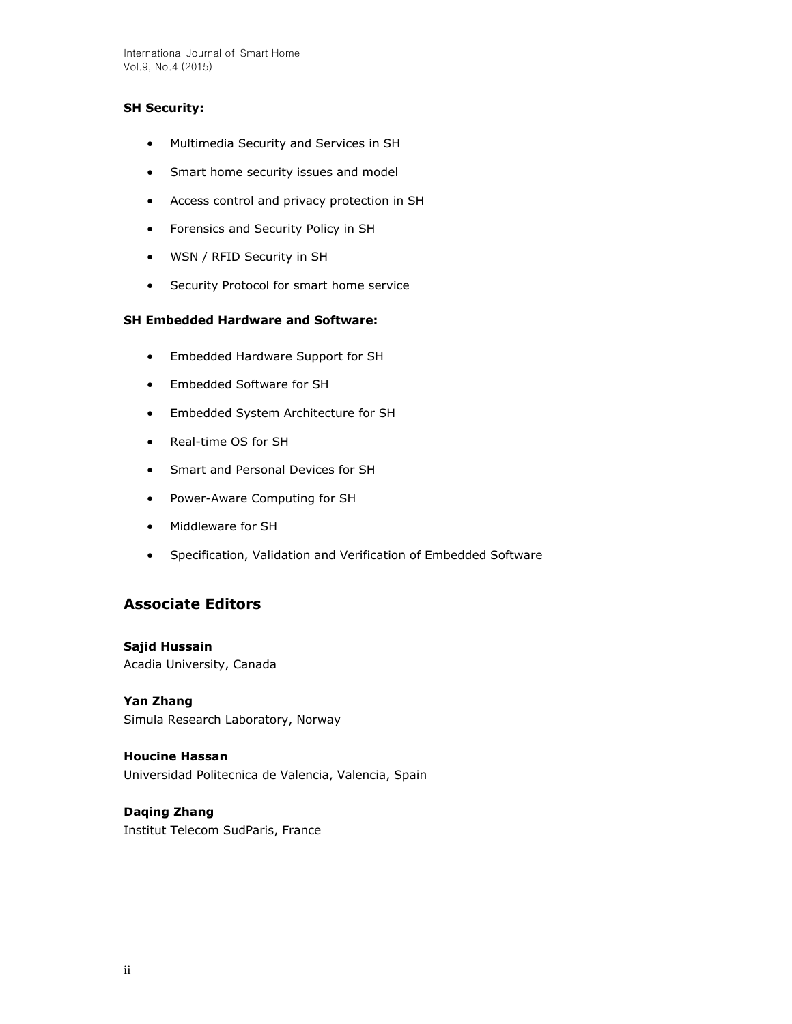International Journal of Smart Home Vol.9, No.4 (2015)

## **SH Security:**

- Multimedia Security and Services in SH
- Smart home security issues and model
- Access control and privacy protection in SH
- Forensics and Security Policy in SH
- WSN / RFID Security in SH
- **•** Security Protocol for smart home service

## **SH Embedded Hardware and Software:**

- Embedded Hardware Support for SH
- Embedded Software for SH
- Embedded System Architecture for SH
- Real-time OS for SH
- Smart and Personal Devices for SH
- Power-Aware Computing for SH
- Middleware for SH
- Specification, Validation and Verification of Embedded Software

# **Associate Editors**

**Sajid Hussain** Acadia University, Canada

**Yan Zhang**  Simula Research Laboratory, Norway

**Houcine Hassan**  Universidad Politecnica de Valencia, Valencia, Spain

# **Daqing Zhang**

Institut Telecom SudParis, France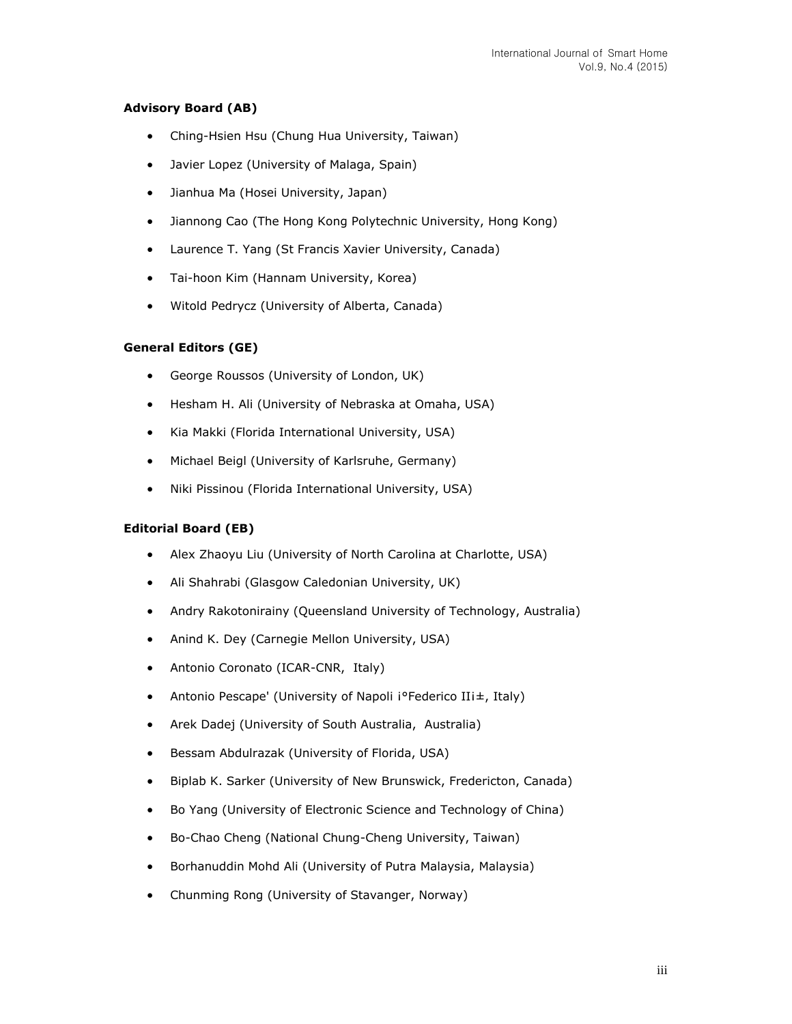## **Advisory Board (AB)**

- Ching-Hsien Hsu (Chung Hua University, Taiwan)
- Javier Lopez (University of Malaga, Spain)
- Jianhua Ma (Hosei University, Japan)
- Jiannong Cao (The Hong Kong Polytechnic University, Hong Kong)
- Laurence T. Yang (St Francis Xavier University, Canada)
- Tai-hoon Kim (Hannam University, Korea)
- Witold Pedrycz (University of Alberta, Canada)

### **General Editors (GE)**

- George Roussos (University of London, UK)
- Hesham H. Ali (University of Nebraska at Omaha, USA)
- Kia Makki (Florida International University, USA)
- Michael Beigl (University of Karlsruhe, Germany)
- Niki Pissinou (Florida International University, USA)

### **Editorial Board (EB)**

- Alex Zhaoyu Liu (University of North Carolina at Charlotte, USA)
- Ali Shahrabi (Glasgow Caledonian University, UK)
- Andry Rakotonirainy (Queensland University of Technology, Australia)
- Anind K. Dey (Carnegie Mellon University, USA)
- Antonio Coronato (ICAR-CNR, Italy)
- Antonio Pescape' (University of Napoli i°Federico IIi±, Italy)
- Arek Dadej (University of South Australia, Australia)
- Bessam Abdulrazak (University of Florida, USA)
- Biplab K. Sarker (University of New Brunswick, Fredericton, Canada)
- Bo Yang (University of Electronic Science and Technology of China)
- Bo-Chao Cheng (National Chung-Cheng University, Taiwan)
- Borhanuddin Mohd Ali (University of Putra Malaysia, Malaysia)
- Chunming Rong (University of Stavanger, Norway)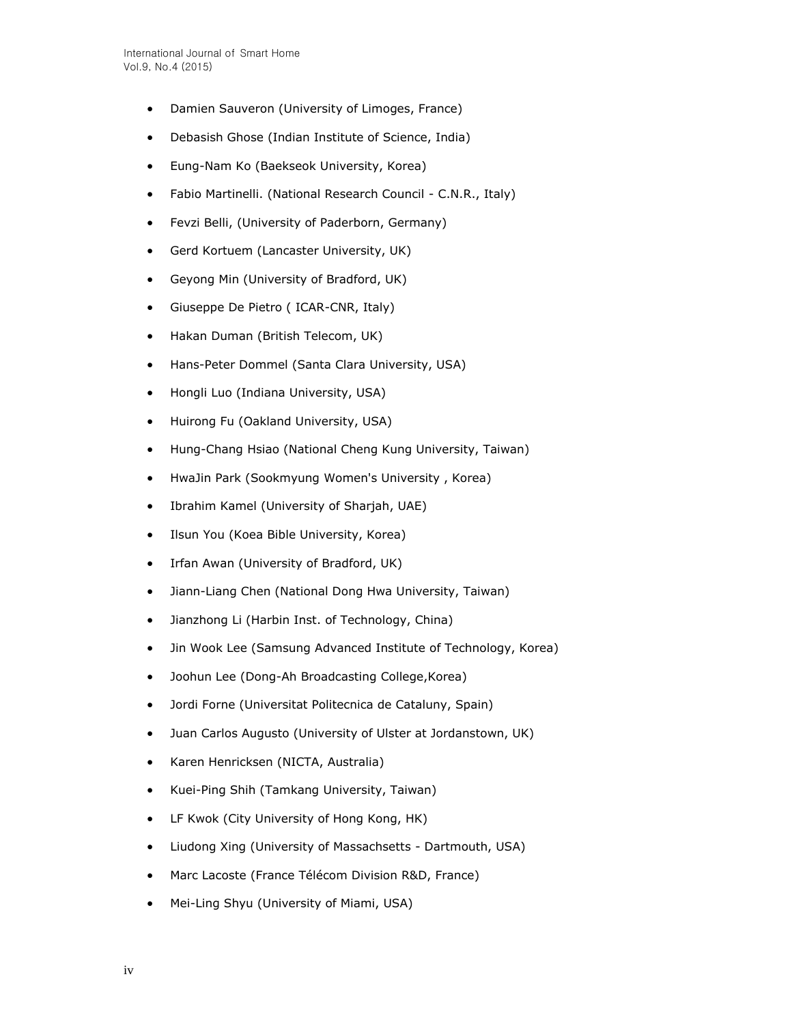- Damien Sauveron (University of Limoges, France)
- Debasish Ghose (Indian Institute of Science, India)
- Eung-Nam Ko (Baekseok University, Korea)
- Fabio Martinelli. (National Research Council C.N.R., Italy)
- Fevzi Belli, (University of Paderborn, Germany)
- Gerd Kortuem (Lancaster University, UK)
- Geyong Min (University of Bradford, UK)
- Giuseppe De Pietro ( ICAR-CNR, Italy)
- Hakan Duman (British Telecom, UK)
- Hans-Peter Dommel (Santa Clara University, USA)
- Hongli Luo (Indiana University, USA)
- Huirong Fu (Oakland University, USA)
- Hung-Chang Hsiao (National Cheng Kung University, Taiwan)
- HwaJin Park (Sookmyung Women's University , Korea)
- Ibrahim Kamel (University of Sharjah, UAE)
- Ilsun You (Koea Bible University, Korea)
- Irfan Awan (University of Bradford, UK)
- Jiann-Liang Chen (National Dong Hwa University, Taiwan)
- Jianzhong Li (Harbin Inst. of Technology, China)
- Jin Wook Lee (Samsung Advanced Institute of Technology, Korea)
- Joohun Lee (Dong-Ah Broadcasting College,Korea)
- Jordi Forne (Universitat Politecnica de Cataluny, Spain)
- Juan Carlos Augusto (University of Ulster at Jordanstown, UK)
- Karen Henricksen (NICTA, Australia)
- Kuei-Ping Shih (Tamkang University, Taiwan)
- LF Kwok (City University of Hong Kong, HK)
- Liudong Xing (University of Massachsetts Dartmouth, USA)
- Marc Lacoste (France Télécom Division R&D, France)
- Mei-Ling Shyu (University of Miami, USA)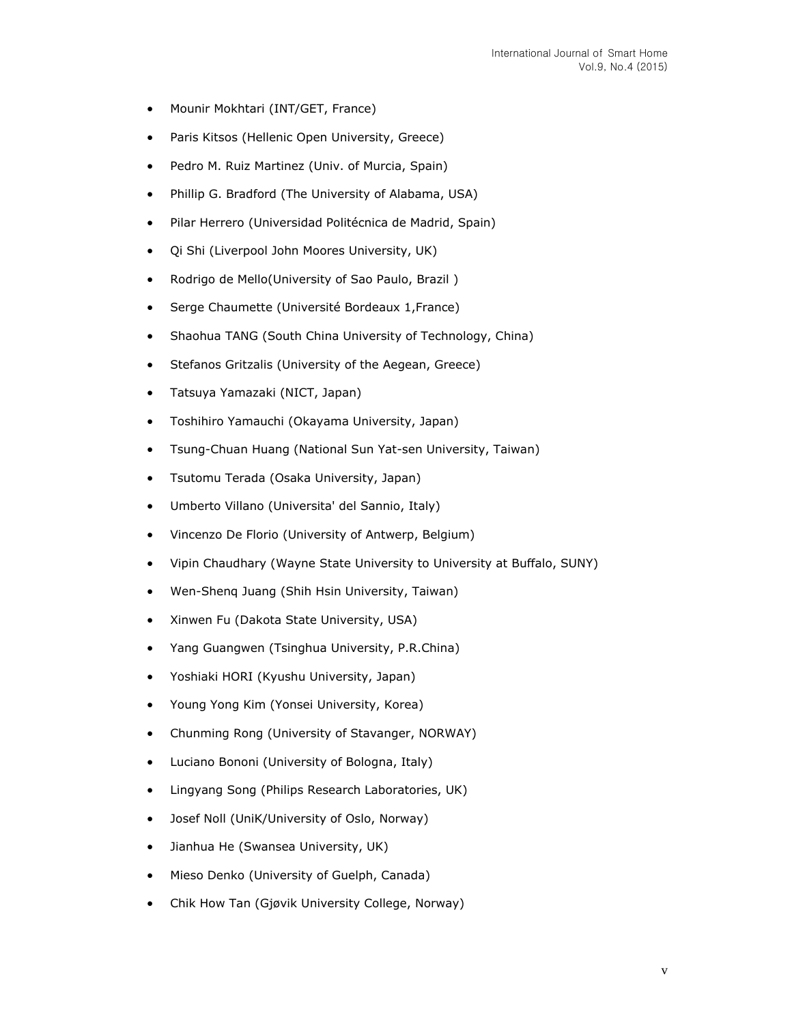- Mounir Mokhtari (INT/GET, France)
- Paris Kitsos (Hellenic Open University, Greece)
- Pedro M. Ruiz Martinez (Univ. of Murcia, Spain)
- Phillip G. Bradford (The University of Alabama, USA)
- Pilar Herrero (Universidad Politécnica de Madrid, Spain)
- Qi Shi (Liverpool John Moores University, UK)
- Rodrigo de Mello(University of Sao Paulo, Brazil)
- Serge Chaumette (Université Bordeaux 1,France)
- Shaohua TANG (South China University of Technology, China)
- Stefanos Gritzalis (University of the Aegean, Greece)
- Tatsuya Yamazaki (NICT, Japan)
- Toshihiro Yamauchi (Okayama University, Japan)
- Tsung-Chuan Huang (National Sun Yat-sen University, Taiwan)
- Tsutomu Terada (Osaka University, Japan)
- Umberto Villano (Universita' del Sannio, Italy)
- Vincenzo De Florio (University of Antwerp, Belgium)
- Vipin Chaudhary (Wayne State University to University at Buffalo, SUNY)
- Wen-Shenq Juang (Shih Hsin University, Taiwan)
- Xinwen Fu (Dakota State University, USA)
- Yang Guangwen (Tsinghua University, P.R.China)
- Yoshiaki HORI (Kyushu University, Japan)
- Young Yong Kim (Yonsei University, Korea)
- Chunming Rong (University of Stavanger, NORWAY)
- Luciano Bononi (University of Bologna, Italy)
- Lingyang Song (Philips Research Laboratories, UK)
- Josef Noll (UniK/University of Oslo, Norway)
- Jianhua He (Swansea University, UK)
- Mieso Denko (University of Guelph, Canada)
- Chik How Tan (Gjøvik University College, Norway)